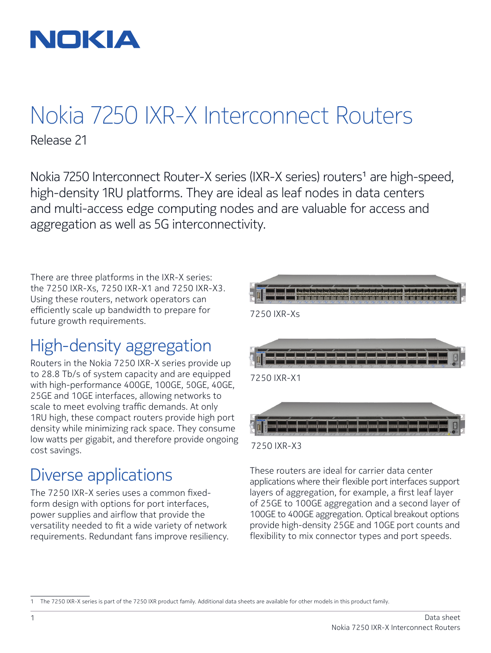

# Nokia 7250 IXR-X Interconnect Routers Release 21

Nokia 7250 Interconnect Router-X series (IXR-X series) routers<sup>1</sup> are high-speed, high-density 1RU platforms. They are ideal as leaf nodes in data centers and multi-access edge computing nodes and are valuable for access and aggregation as well as 5G interconnectivity.

7250 IXR-X3

There are three platforms in the IXR-X series: the 7250 IXR-Xs, 7250 IXR-X1 and 7250 IXR-X3. Using these routers, network operators can efficiently scale up bandwidth to prepare for future growth requirements.

## High-density aggregation

Routers in the Nokia 7250 IXR-X series provide up to 28.8 Tb/s of system capacity and are equipped with high-performance 400GE, 100GE, 50GE, 40GE, 25GE and 10GE interfaces, allowing networks to scale to meet evolving traffic demands. At only 1RU high, these compact routers provide high port density while minimizing rack space. They consume low watts per gigabit, and therefore provide ongoing cost savings.

## Diverse applications

The 7250 IXR-X series uses a common fixedform design with options for port interfaces, power supplies and airflow that provide the versatility needed to fit a wide variety of network requirements. Redundant fans improve resiliency.



These routers are ideal for carrier data center applications where their flexible port interfaces support layers of aggregation, for example, a first leaf layer of 25GE to 100GE aggregation and a second layer of 100GE to 400GE aggregation. Optical breakout options provide high-density 25GE and 10GE port counts and flexibility to mix connector types and port speeds.

<sup>1</sup> The 7250 IXR-X series is part of the 7250 IXR product family. Additional data sheets are available for other models in this product family.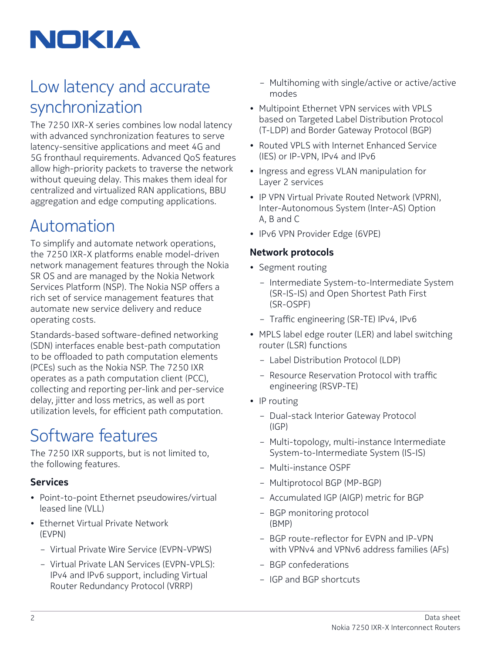

# Low latency and accurate synchronization

The 7250 IXR-X series combines low nodal latency with advanced synchronization features to serve latency-sensitive applications and meet 4G and 5G fronthaul requirements. Advanced QoS features allow high-priority packets to traverse the network without queuing delay. This makes them ideal for centralized and virtualized RAN applications, BBU aggregation and edge computing applications.

## Automation

To simplify and automate network operations, the 7250 IXR-X platforms enable model-driven network management features through the Nokia SR OS and are managed by the Nokia Network Services Platform (NSP). The Nokia NSP offers a rich set of service management features that automate new service delivery and reduce operating costs.

Standards-based software-defined networking (SDN) interfaces enable best-path computation to be offloaded to path computation elements (PCEs) such as the Nokia NSP. The 7250 IXR operates as a path computation client (PCC), collecting and reporting per-link and per-service delay, jitter and loss metrics, as well as port utilization levels, for efficient path computation.

# Software features

The 7250 IXR supports, but is not limited to, the following features.

### **Services**

- Point-to-point Ethernet pseudowires/virtual leased line (VLL)
- Ethernet Virtual Private Network (EVPN)
	- Virtual Private Wire Service (EVPN-VPWS)
	- Virtual Private LAN Services (EVPN-VPLS): IPv4 and IPv6 support, including Virtual Router Redundancy Protocol (VRRP)
- Multihoming with single/active or active/active modes
- Multipoint Ethernet VPN services with VPLS based on Targeted Label Distribution Protocol (T-LDP) and Border Gateway Protocol (BGP)
- Routed VPLS with Internet Enhanced Service (IES) or IP-VPN, IPv4 and IPv6
- Ingress and egress VLAN manipulation for Layer 2 services
- IP VPN Virtual Private Routed Network (VPRN), Inter-Autonomous System (Inter-AS) Option A, B and C
- IPv6 VPN Provider Edge (6VPE)

### **Network protocols**

- Segment routing
	- Intermediate System-to-Intermediate System (SR-IS-IS) and Open Shortest Path First (SR-OSPF)
	- Traffic engineering (SR-TE) IPv4, IPv6
- MPLS label edge router (LER) and label switching router (LSR) functions
	- Label Distribution Protocol (LDP)
	- Resource Reservation Protocol with traffic engineering (RSVP-TE)
- IP routing
	- Dual-stack Interior Gateway Protocol (IGP)
	- Multi-topology, multi-instance Intermediate System-to-Intermediate System (IS-IS)
	- Multi-instance OSPF
	- Multiprotocol BGP (MP-BGP)
	- Accumulated IGP (AIGP) metric for BGP
	- BGP monitoring protocol (BMP)
	- BGP route-reflector for EVPN and IP-VPN with VPNv4 and VPNv6 address families (AFs)
	- BGP confederations
	- IGP and BGP shortcuts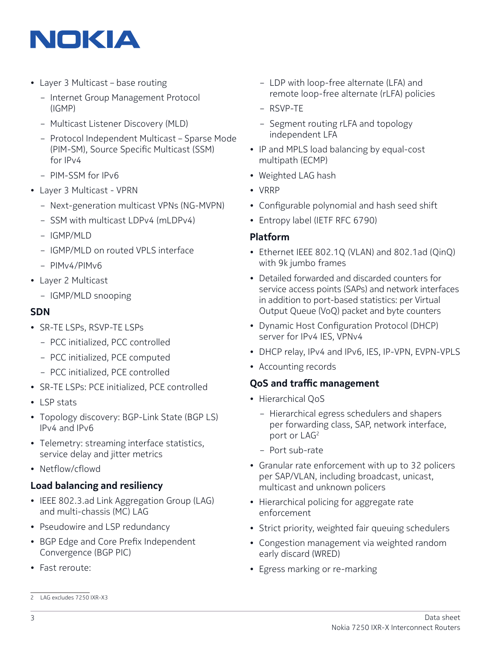

- Layer 3 Multicast base routing
	- Internet Group Management Protocol (IGMP)
	- Multicast Listener Discovery (MLD)
	- Protocol Independent Multicast Sparse Mode (PIM-SM), Source Specific Multicast (SSM) for IPv4
	- PIM-SSM for IPv6
- Layer 3 Multicast VPRN
	- Next-generation multicast VPNs (NG-MVPN)
	- SSM with multicast LDPv4 (mLDPv4)
	- IGMP/MLD
	- IGMP/MLD on routed VPLS interface
	- PIMv4/PIMv6
- Layer 2 Multicast
	- IGMP/MLD snooping

#### **SDN**

- SR-TE LSPs, RSVP-TE LSPs
	- PCC initialized, PCC controlled
	- PCC initialized, PCE computed
	- PCC initialized, PCE controlled
- SR-TE LSPs: PCE initialized, PCE controlled
- LSP stats
- Topology discovery: BGP-Link State (BGP LS) IPv4 and IPv6
- Telemetry: streaming interface statistics, service delay and jitter metrics
- Netflow/cflowd

#### **Load balancing and resiliency**

- IEEE 802.3.ad Link Aggregation Group (LAG) and multi-chassis (MC) LAG
- Pseudowire and LSP redundancy
- BGP Edge and Core Prefix Independent Convergence (BGP PIC)
- Fast reroute:
- LDP with loop-free alternate (LFA) and remote loop-free alternate (rLFA) policies
- RSVP-TE
- Segment routing rLFA and topology independent LFA
- IP and MPLS load balancing by equal-cost multipath (ECMP)
- Weighted LAG hash
- VRRP
- Configurable polynomial and hash seed shift
- Entropy label (IETF RFC 6790)

#### **Platform**

- Ethernet IEEE 802.1Q (VLAN) and 802.1ad (QinQ) with 9k jumbo frames
- Detailed forwarded and discarded counters for service access points (SAPs) and network interfaces in addition to port-based statistics: per Virtual Output Queue (VoQ) packet and byte counters
- Dynamic Host Configuration Protocol (DHCP) server for IPv4 IES, VPNv4
- DHCP relay, IPv4 and IPv6, IES, IP-VPN, EVPN-VPLS
- Accounting records

#### **QoS and traffic management**

- Hierarchical OoS
	- Hierarchical egress schedulers and shapers per forwarding class, SAP, network interface, port or LAG<sup>2</sup>
	- Port sub-rate
- Granular rate enforcement with up to 32 policers per SAP/VLAN, including broadcast, unicast, multicast and unknown policers
- Hierarchical policing for aggregate rate enforcement
- Strict priority, weighted fair queuing schedulers
- Congestion management via weighted random early discard (WRED)
- Egress marking or re-marking

<sup>2</sup> LAG excludes 7250 IXR-X3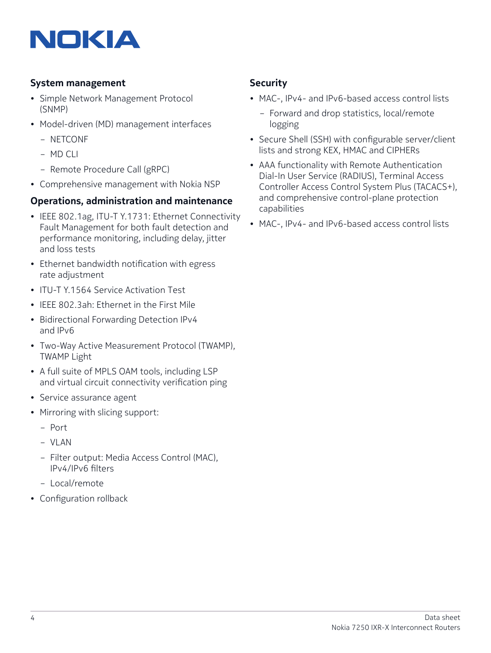

#### **System management**

- Simple Network Management Protocol (SNMP)
- Model-driven (MD) management interfaces
	- NETCONF
	- MD CLI
	- Remote Procedure Call (gRPC)
- Comprehensive management with Nokia NSP

#### **Operations, administration and maintenance**

- IEEE 802.1ag, ITU-T Y.1731: Ethernet Connectivity Fault Management for both fault detection and performance monitoring, including delay, jitter and loss tests
- Ethernet bandwidth notification with egress rate adjustment
- ITU-T Y.1564 Service Activation Test
- IEEE 802.3ah: Ethernet in the First Mile
- Bidirectional Forwarding Detection IPv4 and IPv6
- Two-Way Active Measurement Protocol (TWAMP), TWAMP Light
- A full suite of MPLS OAM tools, including LSP and virtual circuit connectivity verification ping
- Service assurance agent
- Mirroring with slicing support:
	- Port
	- VLAN
	- Filter output: Media Access Control (MAC), IPv4/IPv6 filters
	- Local/remote
- Configuration rollback

#### **Security**

- MAC-, IPv4- and IPv6-based access control lists
	- Forward and drop statistics, local/remote logging
- Secure Shell (SSH) with configurable server/client lists and strong KEX, HMAC and CIPHERs
- AAA functionality with Remote Authentication Dial-In User Service (RADIUS), Terminal Access Controller Access Control System Plus (TACACS+), and comprehensive control-plane protection capabilities
- MAC-, IPv4- and IPv6-based access control lists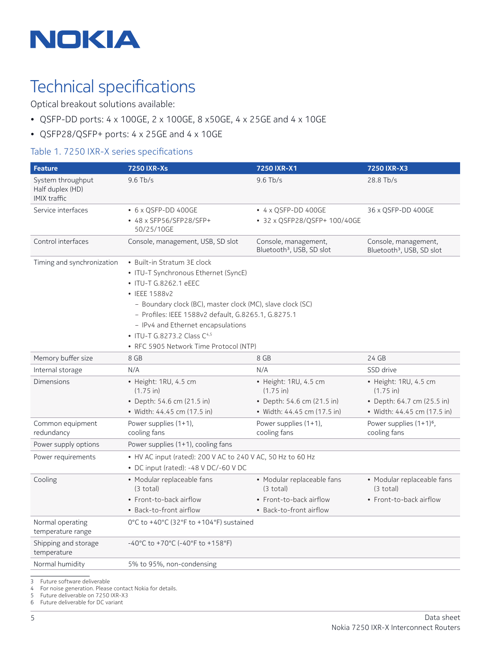

## Technical specifications

Optical breakout solutions available:

- QSFP-DD ports: 4 x 100GE, 2 x 100GE, 8 x50GE, 4 x 25GE and 4 x 10GE
- QSFP28/QSFP+ ports: 4 x 25GE and 4 x 10GE

#### Table 1. 7250 IXR-X series specifications

| <b>Feature</b>                                               | <b>7250 IXR-Xs</b>                                                                                                                                                                                                                                                                                                                                | 7250 IXR-X1                                                                | 7250 IXR-X3                                                      |
|--------------------------------------------------------------|---------------------------------------------------------------------------------------------------------------------------------------------------------------------------------------------------------------------------------------------------------------------------------------------------------------------------------------------------|----------------------------------------------------------------------------|------------------------------------------------------------------|
| System throughput<br>Half duplex (HD)<br><b>IMIX traffic</b> | $9.6$ Tb/s                                                                                                                                                                                                                                                                                                                                        | $9.6$ Tb/s                                                                 | 28.8 Tb/s                                                        |
| Service interfaces                                           | • 6 x QSFP-DD 400GE<br>• 48 x SFP56/SFP28/SFP+<br>50/25/10GE                                                                                                                                                                                                                                                                                      | $\bullet$ 4 x QSFP-DD 400GE<br>• 32 x QSFP28/QSFP+ 100/40GE                | 36 x QSFP-DD 400GE                                               |
| Control interfaces                                           | Console, management, USB, SD slot                                                                                                                                                                                                                                                                                                                 | Console, management,<br>Bluetooth <sup>3</sup> , USB, SD slot              | Console, management,<br>Bluetooth <sup>3</sup> , USB, SD slot    |
| Timing and synchronization                                   | • Built-in Stratum 3E clock<br>• ITU-T Synchronous Ethernet (SyncE)<br>• ITU-T G.8262.1 eEEC<br>• IEEE 1588v2<br>- Boundary clock (BC), master clock (MC), slave clock (SC)<br>- Profiles: IEEE 1588v2 default, G.8265.1, G.8275.1<br>- IPv4 and Ethernet encapsulations<br>• ITU-T G.8273.2 Class C4,5<br>• RFC 5905 Network Time Protocol (NTP) |                                                                            |                                                                  |
| Memory buffer size                                           | 8 GB                                                                                                                                                                                                                                                                                                                                              | 8 GB                                                                       | 24 GB                                                            |
| Internal storage                                             | N/A                                                                                                                                                                                                                                                                                                                                               | N/A                                                                        | SSD drive                                                        |
| <b>Dimensions</b>                                            | · Height: 1RU, 4.5 cm<br>$(1.75 \text{ in})$<br>• Depth: 54.6 cm (21.5 in)                                                                                                                                                                                                                                                                        | · Height: 1RU, 4.5 cm<br>$(1.75 \text{ in})$<br>• Depth: 54.6 cm (21.5 in) | · Height: 1RU, 4.5 cm<br>(1.75 in)<br>• Depth: 64.7 cm (25.5 in) |
|                                                              | • Width: 44.45 cm (17.5 in)                                                                                                                                                                                                                                                                                                                       | • Width: 44.45 cm (17.5 in)                                                | • Width: 44.45 cm (17.5 in)                                      |
| Common equipment<br>redundancy                               | Power supplies (1+1),<br>cooling fans                                                                                                                                                                                                                                                                                                             | Power supplies (1+1),<br>cooling fans                                      | Power supplies $(1+1)^6$ ,<br>cooling fans                       |
| Power supply options                                         | Power supplies (1+1), cooling fans                                                                                                                                                                                                                                                                                                                |                                                                            |                                                                  |
| Power requirements                                           | • HV AC input (rated): 200 V AC to 240 V AC, 50 Hz to 60 Hz<br>• DC input (rated): -48 V DC/-60 V DC                                                                                                                                                                                                                                              |                                                                            |                                                                  |
| Cooling                                                      | • Modular replaceable fans<br>$(3 \text{ total})$                                                                                                                                                                                                                                                                                                 | • Modular replaceable fans<br>$(3 \text{ total})$                          | • Modular replaceable fans<br>$(3 \text{ total})$                |
|                                                              | • Front-to-back airflow<br>• Back-to-front airflow                                                                                                                                                                                                                                                                                                | • Front-to-back airflow<br>• Back-to-front airflow                         | • Front-to-back airflow                                          |
| Normal operating<br>temperature range                        | 0°C to +40°C (32°F to +104°F) sustained                                                                                                                                                                                                                                                                                                           |                                                                            |                                                                  |
| Shipping and storage<br>temperature                          | $-40^{\circ}$ C to +70 $^{\circ}$ C (-40 $^{\circ}$ F to +158 $^{\circ}$ F)                                                                                                                                                                                                                                                                       |                                                                            |                                                                  |
| Normal humidity                                              | 5% to 95%, non-condensing                                                                                                                                                                                                                                                                                                                         |                                                                            |                                                                  |

3 Future software deliverable

4 For noise generation. Please contact Nokia for details.

5 Future deliverable on 7250 IXR-X3

6 Future deliverable for DC variant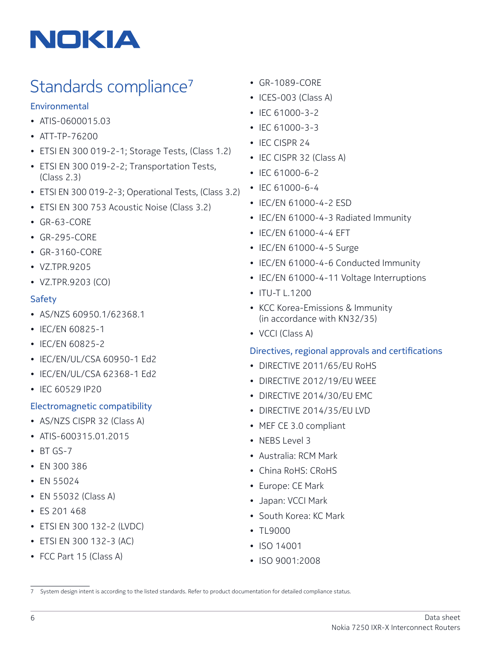

# Standards compliance<sup>7</sup>

#### **Environmental**

- ATIS-0600015.03
- ATT-TP-76200
- ETSI EN 300 019-2-1; Storage Tests, (Class 1.2)
- ETSI EN 300 019-2-2; Transportation Tests, (Class 2.3)
- ETSI EN 300 019-2-3; Operational Tests, (Class 3.2)
- ETSI EN 300 753 Acoustic Noise (Class 3.2)
- GR-63-CORE
- GR-295-CORE
- GR-3160-CORE
- VZ.TPR.9205
- VZ.TPR.9203 (CO)

#### Safety

- AS/NZS 60950.1/62368.1
- IEC/EN 60825-1
- IEC/EN 60825-2
- IEC/EN/UL/CSA 60950-1 Ed2
- IEC/EN/UL/CSA 62368-1 Ed2
- IEC 60529 IP20

#### Electromagnetic compatibility

- AS/NZS CISPR 32 (Class A)
- ATIS-600315.01.2015
- BT GS-7
- EN 300 386
- EN 55024
- EN 55032 (Class A)
- ES 201 468
- ETSI EN 300 132-2 (LVDC)
- ETSI EN 300 132-3 (AC)
- FCC Part 15 (Class A)
- GR-1089-CORE
- ICES-003 (Class A)
- IEC 61000-3-2
- IEC 61000-3-3
- IEC CISPR 24
- IEC CISPR 32 (Class A)
- IEC 61000-6-2
- IEC 61000-6-4
- IEC/EN 61000-4-2 ESD
- IEC/EN 61000-4-3 Radiated Immunity
- IEC/EN 61000-4-4 EFT
- IEC/EN 61000-4-5 Surge
- IEC/EN 61000-4-6 Conducted Immunity
- IEC/EN 61000-4-11 Voltage Interruptions
- ITU-T L.1200
- KCC Korea-Emissions & Immunity (in accordance with KN32/35)
- VCCI (Class A)

#### Directives, regional approvals and certifications

- DIRECTIVE 2011/65/EU RoHS
- DIRECTIVE 2012/19/EU WEEE
- DIRECTIVE 2014/30/EU EMC
- DIRECTIVE 2014/35/EU LVD
- MEF CE 3.0 compliant
- NEBS Level 3
- Australia: RCM Mark
- China RoHS: CRoHS
- Europe: CE Mark
- Japan: VCCI Mark
- South Korea: KC Mark
- TL9000
- ISO 14001
- ISO 9001:2008

<sup>7</sup> System design intent is according to the listed standards. Refer to product documentation for detailed compliance status.